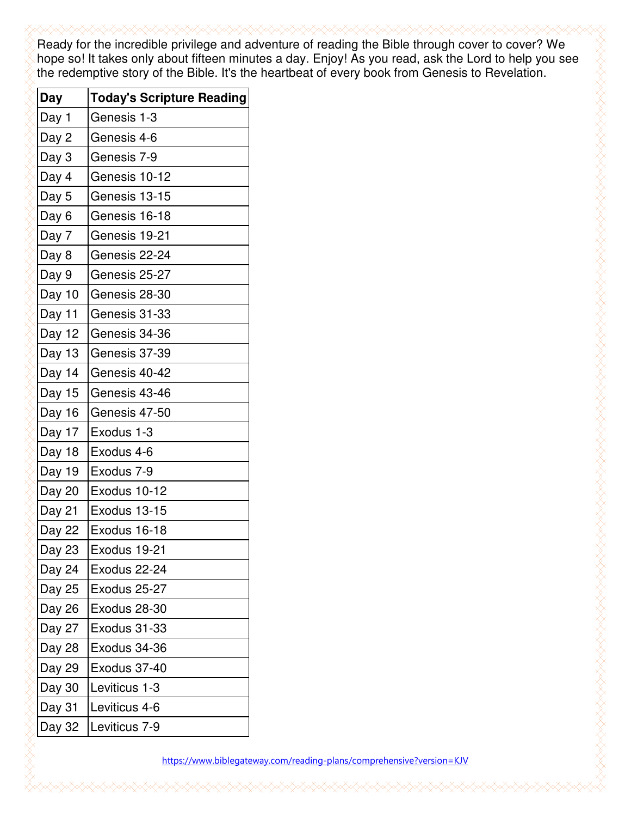Ready for the incredible privilege and adventure of reading the Bible through cover to cover? We hope so! It takes only about fifteen minutes a day. Enjoy! As you read, ask the Lord to help you see the redemptive story of the Bible. It's the heartbeat of every book from Genesis to Revelation.

| Day    | <b>Today's Scripture Reading</b> |
|--------|----------------------------------|
| Day 1  | Genesis 1-3                      |
| Day 2  | Genesis 4-6                      |
| Day 3  | Genesis 7-9                      |
| Day 4  | Genesis 10-12                    |
| Day 5  | Genesis 13-15                    |
| Day 6  | Genesis 16-18                    |
| Day 7  | Genesis 19-21                    |
| Day 8  | Genesis 22-24                    |
| Day 9  | Genesis 25-27                    |
| Day 10 | Genesis 28-30                    |
| Day 11 | Genesis 31-33                    |
| Day 12 | Genesis 34-36                    |
| Day 13 | Genesis 37-39                    |
| Day 14 | Genesis 40-42                    |
| Day 15 | Genesis 43-46                    |
| Day 16 | Genesis 47-50                    |
| Day 17 | Exodus 1-3                       |
| Day 18 | Exodus 4-6                       |
| Day 19 | Exodus 7-9                       |
| Day 20 | Exodus 10-12                     |
| Day 21 | Exodus 13-15                     |
| Day 22 | Exodus 16-18                     |
| Day 23 | Exodus 19-21                     |
| Day 24 | Exodus 22-24                     |
| Day 25 | Exodus 25-27                     |
| Day 26 | Exodus 28-30                     |
| Day 27 | Exodus 31-33                     |
| Day 28 | Exodus 34-36                     |
| Day 29 | Exodus 37-40                     |
| Day 30 | Leviticus 1-3                    |
| Day 31 | Leviticus 4-6                    |
| Day 32 | Leviticus 7-9                    |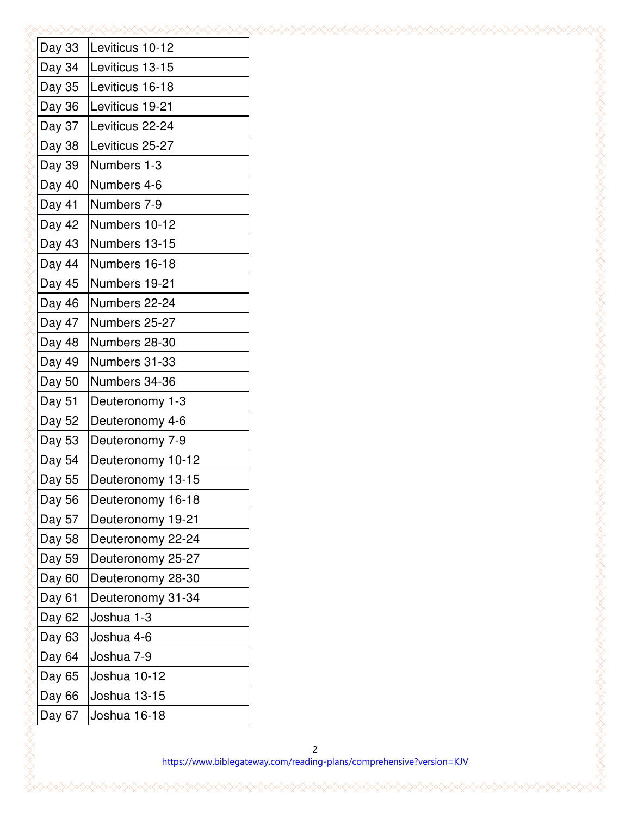| Day 33 | Leviticus 10-12     |
|--------|---------------------|
| Day 34 | Leviticus 13-15     |
| Day 35 | Leviticus 16-18     |
| Day 36 | Leviticus 19-21     |
| Day 37 | Leviticus 22-24     |
| Day 38 | Leviticus 25-27     |
| Day 39 | Numbers 1-3         |
| Day 40 | Numbers 4-6         |
| Day 41 | Numbers 7-9         |
| Day 42 | Numbers 10-12       |
| Day 43 | Numbers 13-15       |
| Day 44 | Numbers 16-18       |
| Day 45 | Numbers 19-21       |
| Day 46 | Numbers 22-24       |
| Day 47 | Numbers 25-27       |
| Day 48 | Numbers 28-30       |
| Day 49 | Numbers 31-33       |
| Day 50 | Numbers 34-36       |
| Day 51 | Deuteronomy 1-3     |
| Day 52 | Deuteronomy 4-6     |
| Day 53 | Deuteronomy 7-9     |
| Day 54 | Deuteronomy 10-12   |
| Day 55 | Deuteronomy 13-15   |
| Day 56 | Deuteronomy 16-18   |
| Day 57 | Deuteronomy 19-21   |
| Day 58 | Deuteronomy 22-24   |
| Day 59 | Deuteronomy 25-27   |
| Day 60 | Deuteronomy 28-30   |
| Day 61 | Deuteronomy 31-34   |
| Day 62 | Joshua 1-3          |
| Day 63 | Joshua 4-6          |
| Day 64 | Joshua 7-9          |
| Day 65 | Joshua 10-12        |
| Day 66 | Joshua 13-15        |
| Day 67 | Joshua 16-18        |
|        |                     |
|        | https://www.biblega |
|        |                     |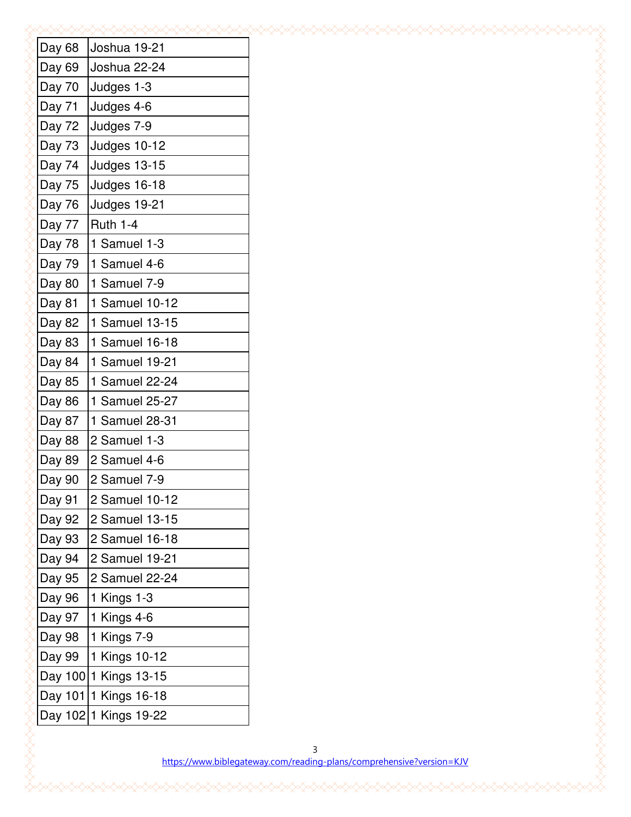| Day 68  | Joshua 19-21        |
|---------|---------------------|
| Day 69  | Joshua 22-24        |
| Day 70  | Judges 1-3          |
| Day 71  | Judges 4-6          |
| Day 72  | Judges 7-9          |
| Day 73  | Judges 10-12        |
| Day 74  | Judges 13-15        |
| Day 75  | Judges 16-18        |
| Day 76  | Judges 19-21        |
| Day 77  | <b>Ruth 1-4</b>     |
| Day 78  | 1 Samuel 1-3        |
| Day 79  | 1 Samuel 4-6        |
| Day 80  | 1 Samuel 7-9        |
| Day 81  | 1 Samuel 10-12      |
| Day 82  | 1 Samuel 13-15      |
| Day 83  | 1 Samuel 16-18      |
| Day 84  | 1 Samuel 19-21      |
| Day 85  | 1 Samuel 22-24      |
| Day 86  | 1 Samuel 25-27      |
| Day 87  | 1 Samuel 28-31      |
| Day 88  | 2 Samuel 1-3        |
| Day 89  | 2 Samuel 4-6        |
| Day 90  | 2 Samuel 7-9        |
| Day 91  | 2 Samuel 10-12      |
| Day 92  | 2 Samuel 13-15      |
| Day 93  | 2 Samuel 16-18      |
| Day 94  | 2 Samuel 19-21      |
| Day 95  | 2 Samuel 22-24      |
| Day 96  | 1 Kings 1-3         |
| Day 97  | 1 Kings 4-6         |
| Day 98  | 1 Kings 7-9         |
| Day 99  | 1 Kings 10-12       |
| Day 100 | 1 Kings 13-15       |
| Day 101 | 1 Kings 16-18       |
| Day 102 | 1 Kings 19-22       |
|         |                     |
|         | https://www.biblega |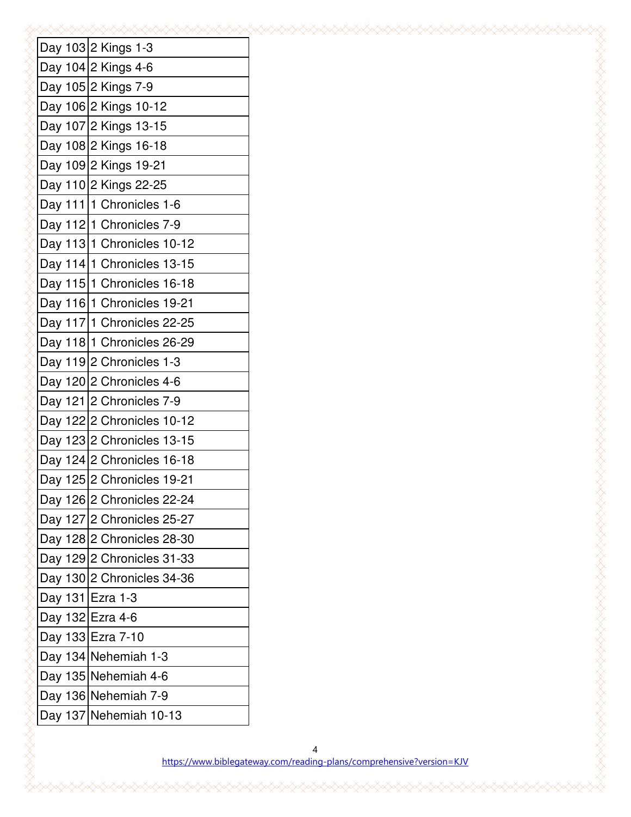| Day 103 2 Kings 1-3        |
|----------------------------|
| Day 104 2 Kings 4-6        |
| Day 105 2 Kings 7-9        |
| Day 106 2 Kings 10-12      |
| Day 107 2 Kings 13-15      |
| Day 108 2 Kings 16-18      |
| Day 109 2 Kings 19-21      |
| Day 110 2 Kings 22-25      |
| Day 111   1 Chronicles 1-6 |
| Day 112 1 Chronicles 7-9   |
| Day 113 1 Chronicles 10-12 |
| Day 114 1 Chronicles 13-15 |
| Day 115 1 Chronicles 16-18 |
| Day 116 1 Chronicles 19-21 |
| Day 117 1 Chronicles 22-25 |
| Day 118 1 Chronicles 26-29 |
| Day 119 2 Chronicles 1-3   |
| Day 120 2 Chronicles 4-6   |
| Day 121 2 Chronicles 7-9   |
| Day 122 2 Chronicles 10-12 |
| Day 123 2 Chronicles 13-15 |
| Day 124 2 Chronicles 16-18 |
| Day 125 2 Chronicles 19-21 |
| Day 126 2 Chronicles 22-24 |
| Day 127 2 Chronicles 25-27 |
| Day 128 2 Chronicles 28-30 |
| Day 129 2 Chronicles 31-33 |
| Day 130 2 Chronicles 34-36 |
| Day 131 Ezra 1-3           |
| Day 132 Ezra 4-6           |
| Day 133 Ezra 7-10          |
| Day 134 Nehemiah 1-3       |
| Day 135 Nehemiah 4-6       |
| Day 136 Nehemiah 7-9       |
| Day 137 Nehemiah 10-13     |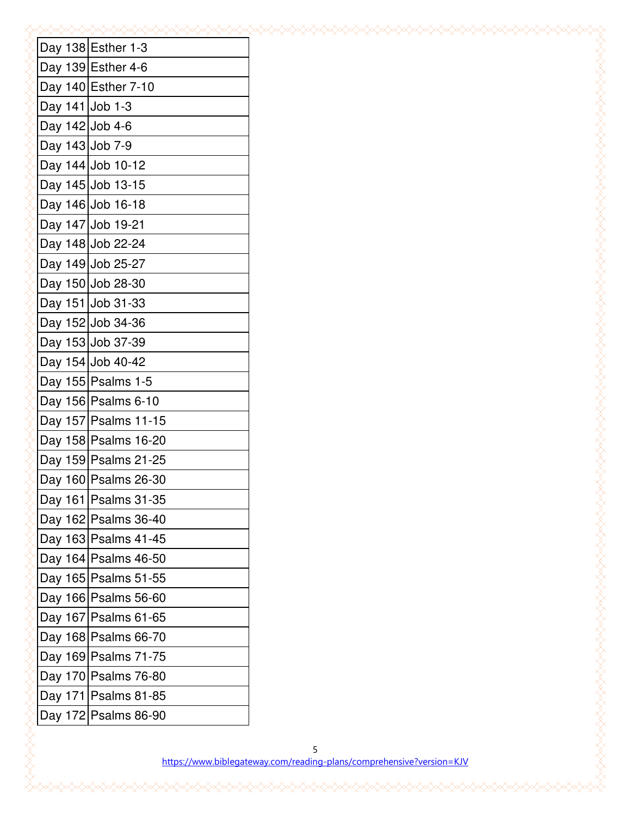|                 | Day 138 Esther 1-3     |
|-----------------|------------------------|
|                 | Day 139 Esther 4-6     |
|                 | Day 140 Esther 7-10    |
| Day 141 Job 1-3 |                        |
| Day 142 Job 4-6 |                        |
| Day 143 Job 7-9 |                        |
|                 | Day 144 Job 10-12      |
|                 | Day 145 Job 13-15      |
|                 | Day 146 Job 16-18      |
|                 | Day 147 Job 19-21      |
|                 | Day 148 Job 22-24      |
|                 | Day 149 Job 25-27      |
|                 | Day 150 Job 28-30      |
|                 | Day 151 Job 31-33      |
|                 | Day 152 Job 34-36      |
|                 | Day 153 Job 37-39      |
|                 | Day 154 Job 40-42      |
|                 | Day 155 Psalms 1-5     |
|                 | Day 156   Psalms 6-10  |
|                 | Day 157 Psalms 11-15   |
|                 | Day 158 Psalms 16-20   |
|                 | Day 159 Psalms 21-25   |
|                 | Day 160 Psalms 26-30   |
|                 | Day 161 Psalms 31-35   |
|                 | Day 162   Psalms 36-40 |
|                 | Day 163 Psalms 41-45   |
|                 | Day 164 Psalms 46-50   |
|                 | Day 165 Psalms 51-55   |
|                 | Day 166   Psalms 56-60 |
|                 | Day 167   Psalms 61-65 |
|                 | Day 168 Psalms 66-70   |
|                 | Day 169 Psalms 71-75   |
|                 | Day 170 Psalms 76-80   |
|                 | Day 171 Psalms 81-85   |
|                 | Day 172 Psalms 86-90   |
|                 |                        |
|                 | https://www.biblega    |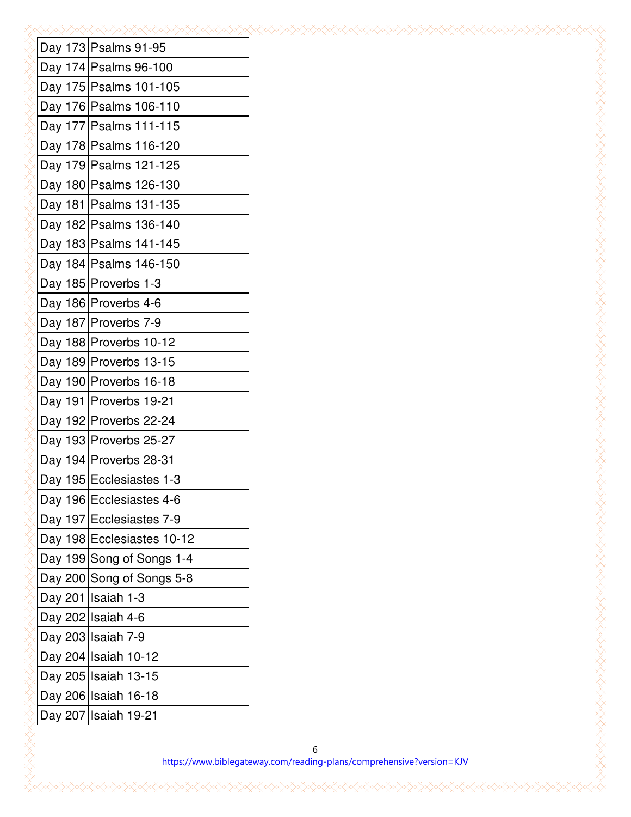|  | Day 173 Psalms 91-95       |
|--|----------------------------|
|  | Day 174 Psalms 96-100      |
|  | Day 175 Psalms 101-105     |
|  | Day 176 Psalms 106-110     |
|  | Day 177 Psalms 111-115     |
|  | Day 178 Psalms 116-120     |
|  | Day 179 Psalms 121-125     |
|  | Day 180 Psalms 126-130     |
|  | Day 181   Psalms 131-135   |
|  | Day 182 Psalms 136-140     |
|  | Day 183 Psalms 141-145     |
|  | Day 184   Psalms 146-150   |
|  | Day 185 Proverbs 1-3       |
|  | Day 186 Proverbs 4-6       |
|  | Day 187 Proverbs 7-9       |
|  | Day 188 Proverbs 10-12     |
|  | Day 189 Proverbs 13-15     |
|  | Day 190 Proverbs 16-18     |
|  | Day 191 Proverbs 19-21     |
|  | Day 192 Proverbs 22-24     |
|  | Day 193 Proverbs 25-27     |
|  | Day 194 Proverbs 28-31     |
|  | Day 195 Ecclesiastes 1-3   |
|  | Day 196 Ecclesiastes 4-6   |
|  | Day 197 Ecclesiastes 7-9   |
|  | Day 198 Ecclesiastes 10-12 |
|  | Day 199 Song of Songs 1-4  |
|  | Day 200 Song of Songs 5-8  |
|  | Day 201 Isaiah 1-3         |
|  | Day 202 Isaiah 4-6         |
|  | Day 203 Isaiah 7-9         |
|  | Day 204 Isaiah 10-12       |
|  | Day 205 Isaiah 13-15       |
|  | Day 206 Isaiah 16-18       |
|  | Day 207 Isaiah 19-21       |
|  |                            |
|  | https://www.biblec         |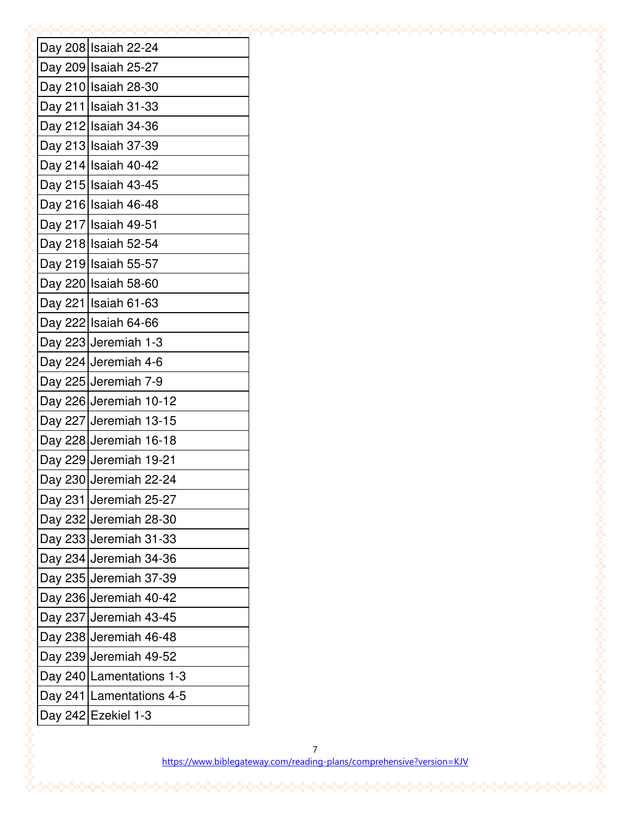|  | Day 208 Isaiah 22-24       |
|--|----------------------------|
|  | Day 209 Isaiah 25-27       |
|  | Day 210 Isaiah 28-30       |
|  | Day 211   Isaiah 31-33     |
|  | Day 212 Isaiah 34-36       |
|  | Day 213 Isaiah 37-39       |
|  | Day 214 Isaiah 40-42       |
|  | Day 215 Isaiah 43-45       |
|  | Day 216 Isaiah 46-48       |
|  | Day 217 Isaiah 49-51       |
|  | Day 218 Isaiah 52-54       |
|  | Day 219 Isaiah 55-57       |
|  | Day 220 Isaiah 58-60       |
|  | Day 221   Isaiah 61-63     |
|  | Day 222 Isaiah 64-66       |
|  | Day 223 Jeremiah 1-3       |
|  | Day 224 Jeremiah 4-6       |
|  | Day 225 Jeremiah 7-9       |
|  | Day 226 Jeremiah 10-12     |
|  | Day 227 Jeremiah 13-15     |
|  | Day 228 Jeremiah 16-18     |
|  | Day 229 Jeremiah 19-21     |
|  | Day 230 Jeremiah 22-24     |
|  | Day 231 Jeremiah 25-27     |
|  | Day 232 Jeremiah 28-30     |
|  | Day 233 Jeremiah 31-33     |
|  | Day 234 Jeremiah 34-36     |
|  | Day 235 Jeremiah 37-39     |
|  | Day 236 Jeremiah 40-42     |
|  | Day 237 Jeremiah 43-45     |
|  | Day 238 Jeremiah 46-48     |
|  | Day 239 Jeremiah 49-52     |
|  | Day 240 Lamentations 1-3   |
|  | Day 241   Lamentations 4-5 |
|  | Day 242 Ezekiel 1-3        |
|  |                            |
|  | https://www.bibleg         |

https://www.biblegateway.com/reading-plans/comprehensive?version=KJV

7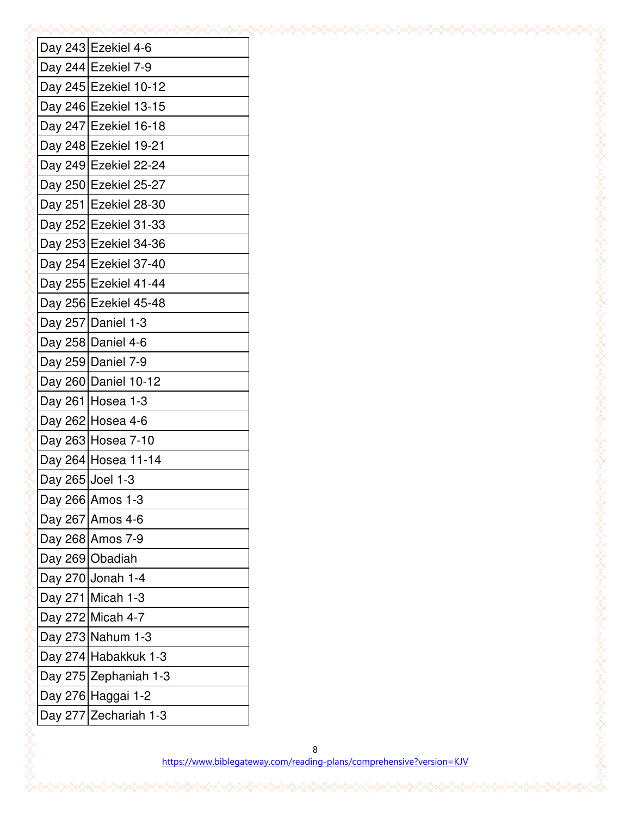|                  | Day 243 Ezekiel 4-6   |
|------------------|-----------------------|
|                  | Day 244 Ezekiel 7-9   |
|                  | Day 245 Ezekiel 10-12 |
|                  | Day 246 Ezekiel 13-15 |
|                  | Day 247 Ezekiel 16-18 |
|                  | Day 248 Ezekiel 19-21 |
|                  | Day 249 Ezekiel 22-24 |
|                  | Day 250 Ezekiel 25-27 |
|                  | Day 251 Ezekiel 28-30 |
|                  | Day 252 Ezekiel 31-33 |
|                  | Day 253 Ezekiel 34-36 |
|                  | Day 254 Ezekiel 37-40 |
|                  | Day 255 Ezekiel 41-44 |
|                  | Day 256 Ezekiel 45-48 |
|                  | Day 257 Daniel 1-3    |
|                  | Day 258 Daniel 4-6    |
|                  | Day 259 Daniel 7-9    |
|                  | Day 260 Daniel 10-12  |
|                  | Day 261 Hosea 1-3     |
|                  | Day 262 Hosea 4-6     |
|                  | Day 263 Hosea 7-10    |
|                  | Day 264 Hosea 11-14   |
| Day 265 Joel 1-3 |                       |
|                  | Day 266 Amos 1-3      |
|                  | Day 267 Amos 4-6      |
|                  | Day 268 Amos 7-9      |
|                  | Day 269 Obadiah       |
|                  | Day 270 Jonah 1-4     |
|                  | Day 271 Micah 1-3     |
|                  | Day 272 Micah 4-7     |
|                  | Day 273 Nahum 1-3     |
|                  | Day 274 Habakkuk 1-3  |
|                  | Day 275 Zephaniah 1-3 |
|                  | Day 276 Haggai 1-2    |
|                  | Day 277 Zechariah 1-3 |
|                  |                       |
|                  | https://www.biblega   |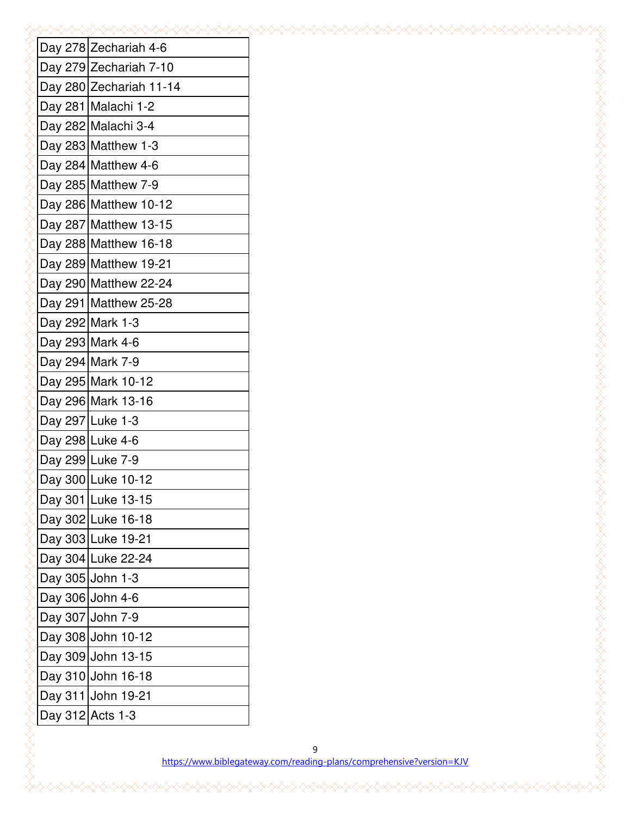|  | Day 278 Zechariah 4-6   |
|--|-------------------------|
|  | Day 279 Zechariah 7-10  |
|  | Day 280 Zechariah 11-14 |
|  | Day 281 Malachi 1-2     |
|  | Day 282 Malachi 3-4     |
|  | Day 283 Matthew 1-3     |
|  | Day 284 Matthew 4-6     |
|  | Day 285 Matthew 7-9     |
|  | Day 286 Matthew 10-12   |
|  | Day 287 Matthew 13-15   |
|  | Day 288 Matthew 16-18   |
|  | Day 289 Matthew 19-21   |
|  | Day 290 Matthew 22-24   |
|  | Day 291   Matthew 25-28 |
|  | Day 292 Mark 1-3        |
|  | Day 293 Mark 4-6        |
|  | Day 294 Mark 7-9        |
|  | Day 295 Mark 10-12      |
|  | Day 296 Mark 13-16      |
|  | Day 297 Luke 1-3        |
|  | Day 298 Luke 4-6        |
|  | Day 299 Luke 7-9        |
|  | Day 300 Luke 10-12      |
|  | Day 301 Luke 13-15      |
|  | Day 302 Luke 16-18      |
|  | Day 303 Luke 19-21      |
|  | Day 304 Luke 22-24      |
|  | Day 305 John 1-3        |
|  | Day 306 John 4-6        |
|  | Day 307 John 7-9        |
|  | Day 308 John 10-12      |
|  | Day 309 John 13-15      |
|  | Day 310 John 16-18      |
|  | Day 311 John 19-21      |
|  | Day 312 Acts 1-3        |
|  |                         |
|  | https://www.biblega     |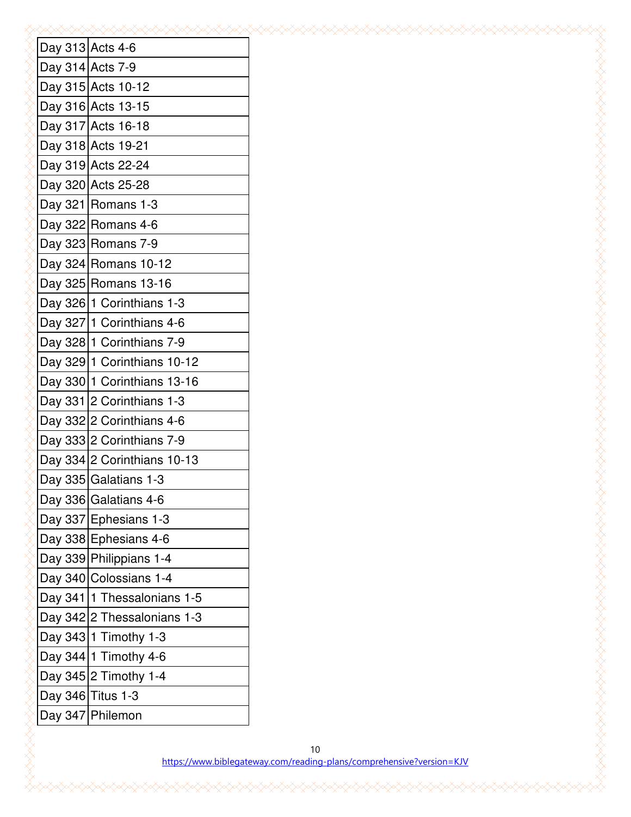|  | Day 313 Acts 4-6              |
|--|-------------------------------|
|  | Day 314 Acts 7-9              |
|  | Day 315 Acts 10-12            |
|  | Day 316 Acts 13-15            |
|  | Day 317 Acts 16-18            |
|  | Day 318 Acts 19-21            |
|  | Day 319 Acts 22-24            |
|  | Day 320 Acts 25-28            |
|  | Day $321$ Romans 1-3          |
|  | Day 322 Romans 4-6            |
|  | Day 323 Romans 7-9            |
|  | Day 324 Romans 10-12          |
|  | Day 325 Romans 13-16          |
|  | Day 326 1 Corinthians 1-3     |
|  | Day 327 1 Corinthians 4-6     |
|  | Day 328 1 Corinthians 7-9     |
|  | Day 329 1 Corinthians 10-12   |
|  | Day 330 1 Corinthians 13-16   |
|  | Day 331 2 Corinthians 1-3     |
|  | Day 332 2 Corinthians 4-6     |
|  | Day 333 2 Corinthians 7-9     |
|  | Day 334 2 Corinthians 10-13   |
|  | Day 335 Galatians 1-3         |
|  | Day 336 Galatians 4-6         |
|  | Day 337 Ephesians 1-3         |
|  | Day 338 Ephesians 4-6         |
|  | Day 339 Philippians 1-4       |
|  | Day 340 Colossians 1-4        |
|  | Day 341   1 Thessalonians 1-5 |
|  | Day 342 2 Thessalonians 1-3   |
|  | Day 343 1 Timothy 1-3         |
|  | Day 344 1 Timothy 4-6         |
|  | Day 345 2 Timothy 1-4         |
|  | Day 346 Titus 1-3             |
|  | Day 347 Philemon              |
|  |                               |
|  | https://www.bibleg            |